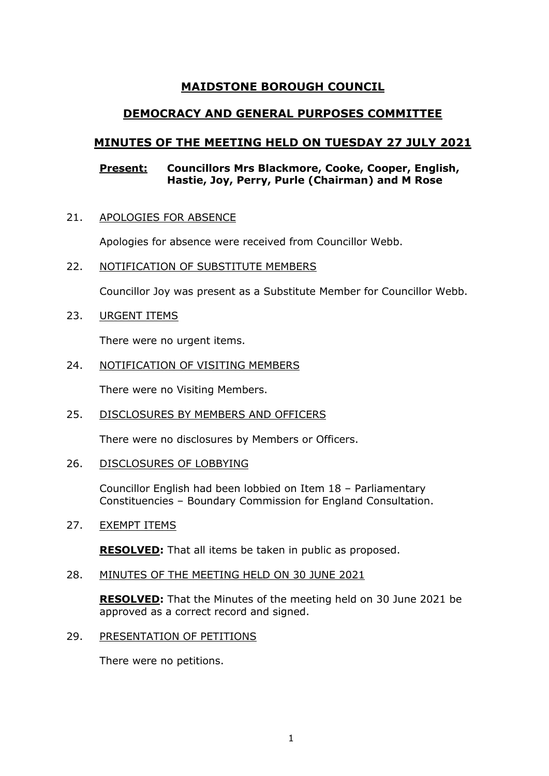# **MAIDSTONE BOROUGH COUNCIL**

# **DEMOCRACY AND GENERAL PURPOSES COMMITTEE**

# **MINUTES OF THE MEETING HELD ON TUESDAY 27 JULY 2021**

# **Present: Councillors Mrs Blackmore, Cooke, Cooper, English, Hastie, Joy, Perry, Purle (Chairman) and M Rose**

21. APOLOGIES FOR ABSENCE

Apologies for absence were received from Councillor Webb.

22. NOTIFICATION OF SUBSTITUTE MEMBERS

Councillor Joy was present as a Substitute Member for Councillor Webb.

23. URGENT ITEMS

There were no urgent items.

24. NOTIFICATION OF VISITING MEMBERS

There were no Visiting Members.

25. DISCLOSURES BY MEMBERS AND OFFICERS

There were no disclosures by Members or Officers.

26. DISCLOSURES OF LOBBYING

Councillor English had been lobbied on Item 18 – Parliamentary Constituencies – Boundary Commission for England Consultation.

# 27. EXEMPT ITEMS

**RESOLVED:** That all items be taken in public as proposed.

# 28. MINUTES OF THE MEETING HELD ON 30 JUNE 2021

**RESOLVED:** That the Minutes of the meeting held on 30 June 2021 be approved as a correct record and signed.

29. PRESENTATION OF PETITIONS

There were no petitions.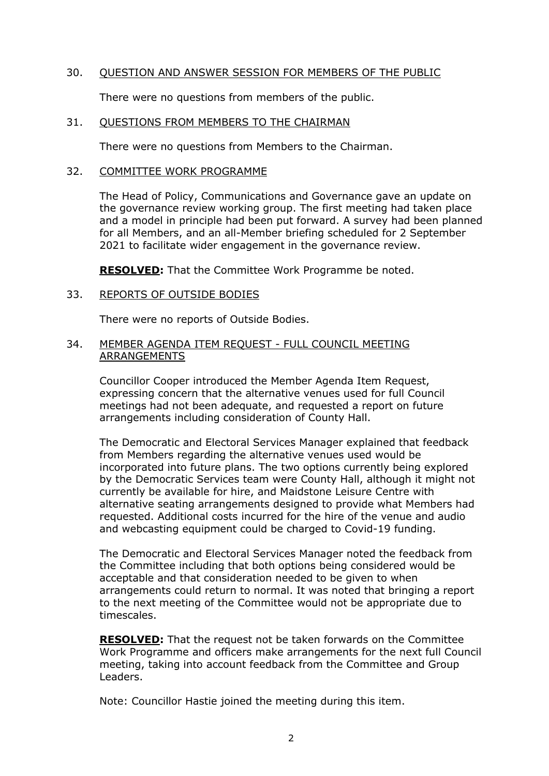## 30. QUESTION AND ANSWER SESSION FOR MEMBERS OF THE PUBLIC

There were no questions from members of the public.

#### 31. QUESTIONS FROM MEMBERS TO THE CHAIRMAN

There were no questions from Members to the Chairman.

## 32. COMMITTEE WORK PROGRAMME

The Head of Policy, Communications and Governance gave an update on the governance review working group. The first meeting had taken place and a model in principle had been put forward. A survey had been planned for all Members, and an all-Member briefing scheduled for 2 September 2021 to facilitate wider engagement in the governance review.

**RESOLVED:** That the Committee Work Programme be noted.

## 33. REPORTS OF OUTSIDE BODIES

There were no reports of Outside Bodies.

## 34. MEMBER AGENDA ITEM REQUEST - FULL COUNCIL MEETING ARRANGEMENTS

Councillor Cooper introduced the Member Agenda Item Request, expressing concern that the alternative venues used for full Council meetings had not been adequate, and requested a report on future arrangements including consideration of County Hall.

The Democratic and Electoral Services Manager explained that feedback from Members regarding the alternative venues used would be incorporated into future plans. The two options currently being explored by the Democratic Services team were County Hall, although it might not currently be available for hire, and Maidstone Leisure Centre with alternative seating arrangements designed to provide what Members had requested. Additional costs incurred for the hire of the venue and audio and webcasting equipment could be charged to Covid-19 funding.

The Democratic and Electoral Services Manager noted the feedback from the Committee including that both options being considered would be acceptable and that consideration needed to be given to when arrangements could return to normal. It was noted that bringing a report to the next meeting of the Committee would not be appropriate due to timescales.

**RESOLVED:** That the request not be taken forwards on the Committee Work Programme and officers make arrangements for the next full Council meeting, taking into account feedback from the Committee and Group Leaders.

Note: Councillor Hastie joined the meeting during this item.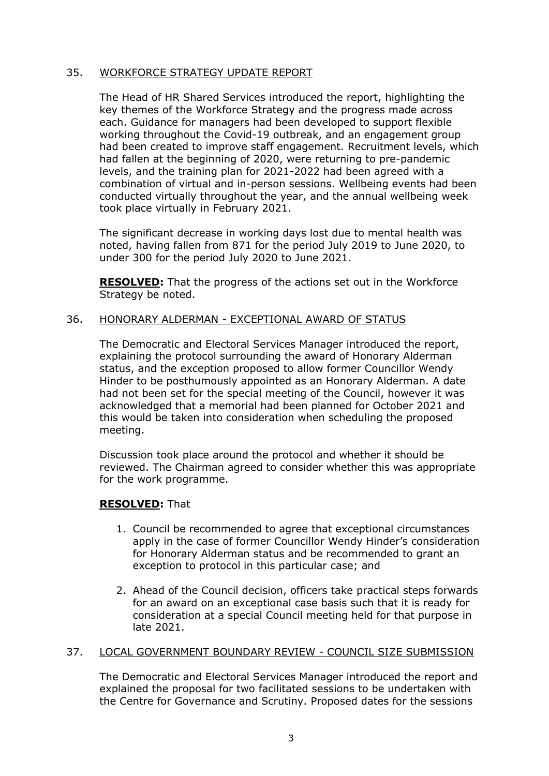## 35. WORKFORCE STRATEGY UPDATE REPORT

The Head of HR Shared Services introduced the report, highlighting the key themes of the Workforce Strategy and the progress made across each. Guidance for managers had been developed to support flexible working throughout the Covid-19 outbreak, and an engagement group had been created to improve staff engagement. Recruitment levels, which had fallen at the beginning of 2020, were returning to pre-pandemic levels, and the training plan for 2021-2022 had been agreed with a combination of virtual and in-person sessions. Wellbeing events had been conducted virtually throughout the year, and the annual wellbeing week took place virtually in February 2021.

The significant decrease in working days lost due to mental health was noted, having fallen from 871 for the period July 2019 to June 2020, to under 300 for the period July 2020 to June 2021.

**RESOLVED:** That the progress of the actions set out in the Workforce Strategy be noted.

## 36. HONORARY ALDERMAN - EXCEPTIONAL AWARD OF STATUS

The Democratic and Electoral Services Manager introduced the report, explaining the protocol surrounding the award of Honorary Alderman status, and the exception proposed to allow former Councillor Wendy Hinder to be posthumously appointed as an Honorary Alderman. A date had not been set for the special meeting of the Council, however it was acknowledged that a memorial had been planned for October 2021 and this would be taken into consideration when scheduling the proposed meeting.

Discussion took place around the protocol and whether it should be reviewed. The Chairman agreed to consider whether this was appropriate for the work programme.

#### **RESOLVED:** That

- 1. Council be recommended to agree that exceptional circumstances apply in the case of former Councillor Wendy Hinder's consideration for Honorary Alderman status and be recommended to grant an exception to protocol in this particular case; and
- 2. Ahead of the Council decision, officers take practical steps forwards for an award on an exceptional case basis such that it is ready for consideration at a special Council meeting held for that purpose in late 2021.

#### 37. LOCAL GOVERNMENT BOUNDARY REVIEW - COUNCIL SIZE SUBMISSION

The Democratic and Electoral Services Manager introduced the report and explained the proposal for two facilitated sessions to be undertaken with the Centre for Governance and Scrutiny. Proposed dates for the sessions